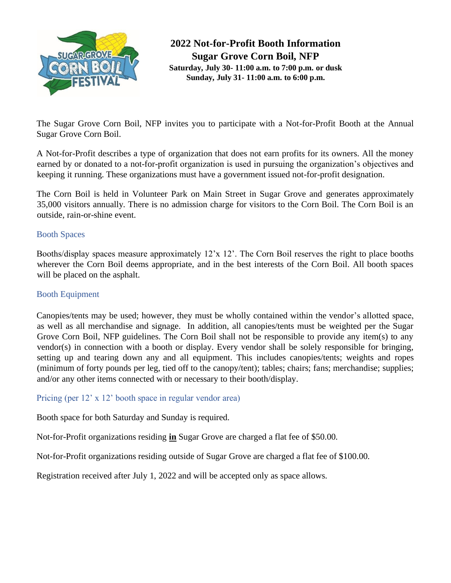

**2022 Not-for-Profit Booth Information Sugar Grove Corn Boil, NFP Saturday, July 30- 11:00 a.m. to 7:00 p.m. or dusk Sunday, July 31- 11:00 a.m. to 6:00 p.m.**

The Sugar Grove Corn Boil, NFP invites you to participate with a Not-for-Profit Booth at the Annual Sugar Grove Corn Boil.

A Not-for-Profit describes a type of organization that does not earn profits for its owners. All the money earned by or donated to a not-for-profit organization is used in pursuing the organization's objectives and keeping it running. These organizations must have a government issued not-for-profit designation.

The Corn Boil is held in Volunteer Park on Main Street in Sugar Grove and generates approximately 35,000 visitors annually. There is no admission charge for visitors to the Corn Boil. The Corn Boil is an outside, rain-or-shine event.

### Booth Spaces

Booths/display spaces measure approximately 12'x 12'. The Corn Boil reserves the right to place booths wherever the Corn Boil deems appropriate, and in the best interests of the Corn Boil. All booth spaces will be placed on the asphalt.

## Booth Equipment

Canopies/tents may be used; however, they must be wholly contained within the vendor's allotted space, as well as all merchandise and signage. In addition, all canopies/tents must be weighted per the Sugar Grove Corn Boil, NFP guidelines. The Corn Boil shall not be responsible to provide any item(s) to any vendor(s) in connection with a booth or display. Every vendor shall be solely responsible for bringing, setting up and tearing down any and all equipment. This includes canopies/tents; weights and ropes (minimum of forty pounds per leg, tied off to the canopy/tent); tables; chairs; fans; merchandise; supplies; and/or any other items connected with or necessary to their booth/display.

### Pricing (per 12' x 12' booth space in regular vendor area)

Booth space for both Saturday and Sunday is required.

Not-for-Profit organizations residing **in** Sugar Grove are charged a flat fee of \$50.00.

Not-for-Profit organizations residing outside of Sugar Grove are charged a flat fee of \$100.00.

Registration received after July 1, 2022 and will be accepted only as space allows.